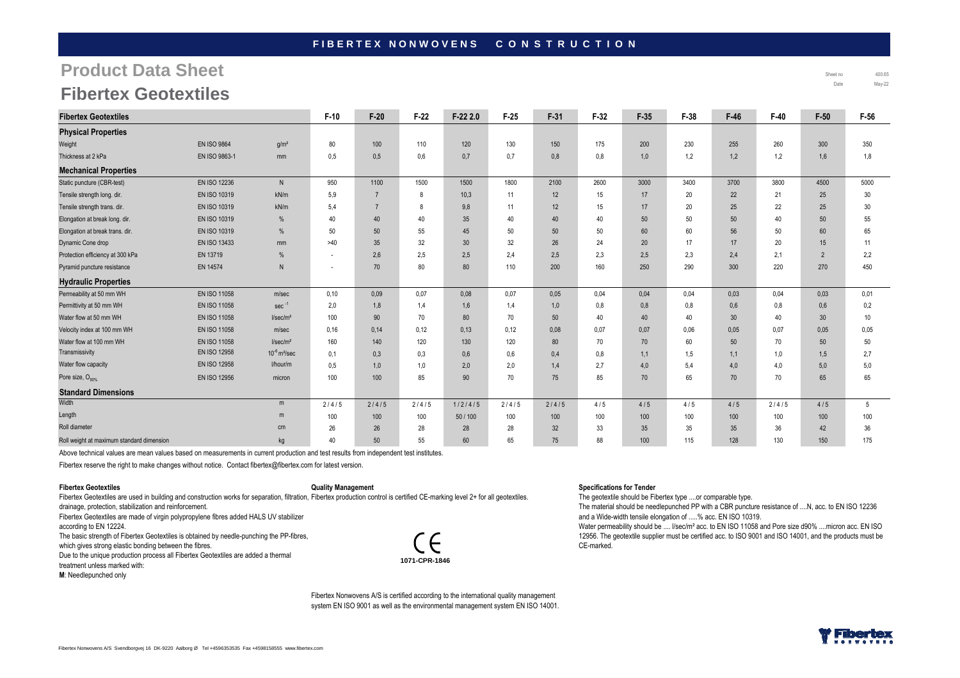### FIBERTEX NONWOVENS CONSTRUCTION

# **Product Data Sheet**

| <b>Fibertex Geotextiles</b>               |                     |                               | $F-10$                   | $F-20$         | $F-22$ | $F-222.0$ | $F-25$ | $F-31$ | $F-32$ | $F-35$ | $F-38$ | $F-46$          | $F-40$ | $F-50$          | $F-56$ |
|-------------------------------------------|---------------------|-------------------------------|--------------------------|----------------|--------|-----------|--------|--------|--------|--------|--------|-----------------|--------|-----------------|--------|
| <b>Physical Properties</b>                |                     |                               |                          |                |        |           |        |        |        |        |        |                 |        |                 |        |
| Weight                                    | <b>EN ISO 9864</b>  | g/m <sup>2</sup>              | 80                       | 100            | 110    | 120       | 130    | 150    | 175    | 200    | 230    | 255             | 260    | 300             | 350    |
| Thickness at 2 kPa                        | EN ISO 9863-1       | mm                            | 0,5                      | 0.5            | 0,6    | 0,7       | 0,7    | 0,8    | 0,8    | 1,0    | 1,2    | 1,2             | 1,2    | 1,6             | 1,8    |
| <b>Mechanical Properties</b>              |                     |                               |                          |                |        |           |        |        |        |        |        |                 |        |                 |        |
| Static puncture (CBR-test)                | <b>EN ISO 12236</b> | $\mathsf{N}$                  | 950                      | 1100           | 1500   | 1500      | 1800   | 2100   | 2600   | 3000   | 3400   | 3700            | 3800   | 4500            | 5000   |
| Tensile strength long. dir.               | <b>EN ISO 10319</b> | kN/m                          | 5,9                      | $\overline{7}$ | 8      | 10,3      | 11     | 12     | 15     | 17     | 20     | 22              | 21     | 25              | 30     |
| Tensile strength trans. dir.              | EN ISO 10319        | kN/m                          | 5,4                      |                | 8      | 9,8       | 11     | 12     | 15     | 17     | 20     | 25              | 22     | 25              | 30     |
| Elongation at break long. dir.            | <b>EN ISO 10319</b> | %                             | 40                       | 40             | 40     | 35        | 40     | 40     | 40     | 50     | 50     | 50              | 40     | 50              | 55     |
| Elongation at break trans. dir.           | EN ISO 10319        | %                             | 50                       | 50             | 55     | 45        | 50     | 50     | 50     | 60     | 60     | 56              | 50     | 60              | 65     |
| Dynamic Cone drop                         | EN ISO 13433        | mm                            | >40                      | 35             | 32     | 30        | 32     | 26     | 24     | 20     | 17     | 17              | 20     | 15              | 11     |
| Protection efficiency at 300 kPa          | EN 13719            | %                             | ٠                        | 2,6            | 2,5    | 2,5       | 2.4    | 2,5    | 2,3    | 2,5    | 2,3    | 2,4             | 2.1    | $\overline{2}$  | 2,2    |
| Pyramid puncture resistance               | EN 14574            | N                             | $\overline{\phantom{a}}$ | 70             | 80     | 80        | 110    | 200    | 160    | 250    | 290    | 300             | 220    | 270             | 450    |
| <b>Hydraulic Properties</b>               |                     |                               |                          |                |        |           |        |        |        |        |        |                 |        |                 |        |
| Permeability at 50 mm WH                  | EN ISO 11058        | m/sec                         | 0,10                     | 0.09           | 0,07   | 0,08      | 0,07   | 0.05   | 0,04   | 0,04   | 0,04   | 0,03            | 0,04   | 0,03            | 0,01   |
| Permittivity at 50 mm WH                  | EN ISO 11058        | $sec^{-1}$                    | 2,0                      | 1,8            | 1,4    | 1,6       | 1,4    | 1,0    | 0,8    | 0,8    | 0,8    | 0,6             | 0,8    | 0,6             | 0,2    |
| Water flow at 50 mm WH                    | <b>EN ISO 11058</b> | I/sec/m <sup>2</sup>          | 100                      | 90             | 70     | 80        | 70     | 50     | 40     | 40     | 40     | 30 <sup>°</sup> | 40     | 30 <sup>°</sup> | 10     |
| Velocity index at 100 mm WH               | EN ISO 11058        | m/sec                         | 0,16                     | 0,14           | 0,12   | 0,13      | 0,12   | 0,08   | 0,07   | 0,07   | 0.06   | 0,05            | 0,07   | 0,05            | 0,05   |
| Water flow at 100 mm WH                   | EN ISO 11058        | I/sec/m <sup>2</sup>          | 160                      | 140            | 120    | 130       | 120    | 80     | 70     | 70     | 60     | 50              | 70     | 50              | 50     |
| Transmissivity                            | EN ISO 12958        | $10^{-6}$ m <sup>2</sup> /sec | 0,1                      | 0,3            | 0,3    | 0,6       | 0,6    | 0,4    | 0,8    | 1,1    | 1,5    | 1,1             | 1,0    | 1,5             | 2,7    |
| Water flow capacity                       | <b>EN ISO 12958</b> | l/hour/m                      | 0.5                      | 1,0            | 1,0    | 2,0       | 2,0    | 1,4    | 2.7    | 4,0    | 5,4    | 4.0             | 4.0    | 5,0             | 5.0    |
| Pore size, O <sub>90%</sub>               | EN ISO 12956        | micron                        | 100                      | 100            | 85     | 90        | 70     | 75     | 85     | 70     | 65     | 70              | 70     | 65              | 65     |
| <b>Standard Dimensions</b>                |                     |                               |                          |                |        |           |        |        |        |        |        |                 |        |                 |        |
| Width                                     |                     | m                             | 2/4/5                    | 2/4/5          | 2/4/5  | 1/2/4/5   | 2/4/5  | 2/4/5  | 4/5    | 4/5    | 4/5    | 4/5             | 2/4/5  | 4/5             | 5      |
| Length                                    |                     | m                             | 100                      | 100            | 100    | 50/100    | 100    | 100    | 100    | 100    | 100    | 100             | 100    | 100             | 100    |
| Roll diameter                             |                     | cm                            | 26                       | 26             | 28     | 28        | 28     | 32     | 33     | 35     | 35     | 35 <sup>5</sup> | 36     | 42              | 36     |
| Roll weight at maximum standard dimension |                     | kg                            | 40                       | 50             | 55     | 60        | 65     | 75     | 88     | 100    | 115    | 128             | 130    | 150             | 175    |

Above technical values are mean values based on measurements in current production and test results from independent test institutes.

Fibertex reserve the right to make changes without notice. Contact fibertex@fibertex.com for latest version.

#### **Fibertex Geotextiles**

#### **Quality Management**

Fibertex Geotextiles are used in building and construction works for separation, filtration, Fibertex production control is certified CE-marking level 2+ for all geotextiles. drainage, protection, stabilization and reinforcement.

Fibertex Geotextiles are made of virgin polypropylene fibres added HALS UV stabilizer

according to EN 12224.

The basic strength of Fibertex Geotextiles is obtained by needle-punching the PP-fibres,

which gives strong elastic bonding between the fibres.

 Due to the unique production process all Fibertex Geotextiles are added a thermal treatment unless marked with:

**M**: Needlepunched only

CE **1071-CPR-1846**

#### **Specifications for Tender**

The geotextile should be Fibertex type ....or comparable type.

 The material should be needlepunched PP with a CBR puncture resistance of ....N, acc. to EN ISO 12236 and a Wide-width tensile elongation of .....% acc. EN ISO 10319.

Water permeability should be .... I/sec/m<sup>2</sup> acc. to EN ISO 11058 and Pore size d90% ....micron acc. EN ISO 12956. The geotextile supplier must be certified acc. to ISO 9001 and ISO 14001, and the products must be CE-marked.

Fibertex Nonwovens A/S is certified according to the international quality management system EN ISO 9001 as well as the environmental management system EN ISO 14001.



 Sheet no 400.65 Date May-22